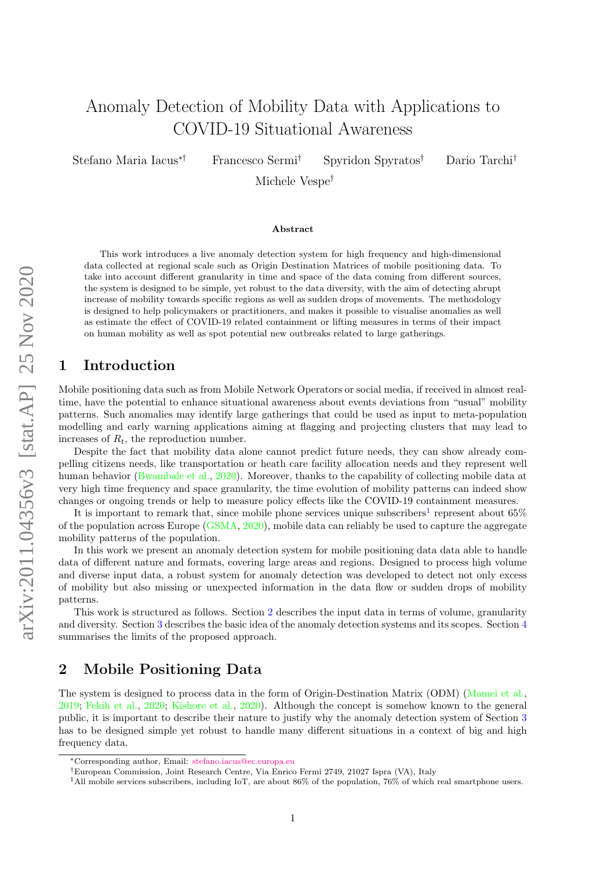# Anomaly Detection of Mobility Data with Applications to COVID-19 Situational Awareness

Stefano Maria Iacus∗† Francesco Sermi† Spyridon Spyratos† Dario Tarchi†

Michele Vespe†

#### Abstract

This work introduces a live anomaly detection system for high frequency and high-dimensional data collected at regional scale such as Origin Destination Matrices of mobile positioning data. To take into account different granularity in time and space of the data coming from different sources, the system is designed to be simple, yet robust to the data diversity, with the aim of detecting abrupt increase of mobility towards specific regions as well as sudden drops of movements. The methodology is designed to help policymakers or practitioners, and makes it possible to visualise anomalies as well as estimate the effect of COVID-19 related containment or lifting measures in terms of their impact on human mobility as well as spot potential new outbreaks related to large gatherings.

### 1 Introduction

Mobile positioning data such as from Mobile Network Operators or social media, if received in almost realtime, have the potential to enhance situational awareness about events deviations from "usual" mobility patterns. Such anomalies may identify large gatherings that could be used as input to meta-population modelling and early warning applications aiming at flagging and projecting clusters that may lead to increases of  $R_t$ , the reproduction number.

Despite the fact that mobility data alone cannot predict future needs, they can show already compelling citizens needs, like transportation or heath care facility allocation needs and they represent well human behavior [\(Bwambale et al.,](#page-4-0) [2020\)](#page-4-0). Moreover, thanks to the capability of collecting mobile data at very high time frequency and space granularity, the time evolution of mobility patterns can indeed show changes or ongoing trends or help to measure policy effects like the COVID-19 containment measures.

It is important to remark that, since mobile phone services unique subscribers<sup>[1](#page-0-0)</sup> represent about  $65\%$ of the population across Europe [\(GSMA,](#page-4-1) [2020\)](#page-4-1), mobile data can reliably be used to capture the aggregate mobility patterns of the population.

In this work we present an anomaly detection system for mobile positioning data data able to handle data of different nature and formats, covering large areas and regions. Designed to process high volume and diverse input data, a robust system for anomaly detection was developed to detect not only excess of mobility but also missing or unexpected information in the data flow or sudden drops of mobility patterns.

This work is structured as follows. Section [2](#page-0-1) describes the input data in terms of volume, granularity and diversity. Section [3](#page-1-0) describes the basic idea of the anomaly detection systems and its scopes. Section [4](#page-4-2) summarises the limits of the proposed approach.

# <span id="page-0-1"></span>2 Mobile Positioning Data

The system is designed to process data in the form of Origin-Destination Matrix (ODM) [\(Mamei et al.,](#page-5-0) [2019;](#page-5-0) [Fekih et al.,](#page-4-3) [2020;](#page-4-3) [Kishore et al.,](#page-5-1) [2020\)](#page-5-1). Although the concept is somehow known to the general public, it is important to describe their nature to justify why the anomaly detection system of Section [3](#page-1-0) has to be designed simple yet robust to handle many different situations in a context of big and high frequency data.

<sup>∗</sup>Corresponding author, Email: [stefano.iacus@ec.europa.eu](mailto:stefano.iacus@ec.europa.eu)

<sup>†</sup>European Commission, Joint Research Centre, Via Enrico Fermi 2749, 21027 Ispra (VA), Italy

<span id="page-0-0"></span><sup>1</sup>All mobile services subscribers, including IoT, are about 86% of the population, 76% of which real smartphone users.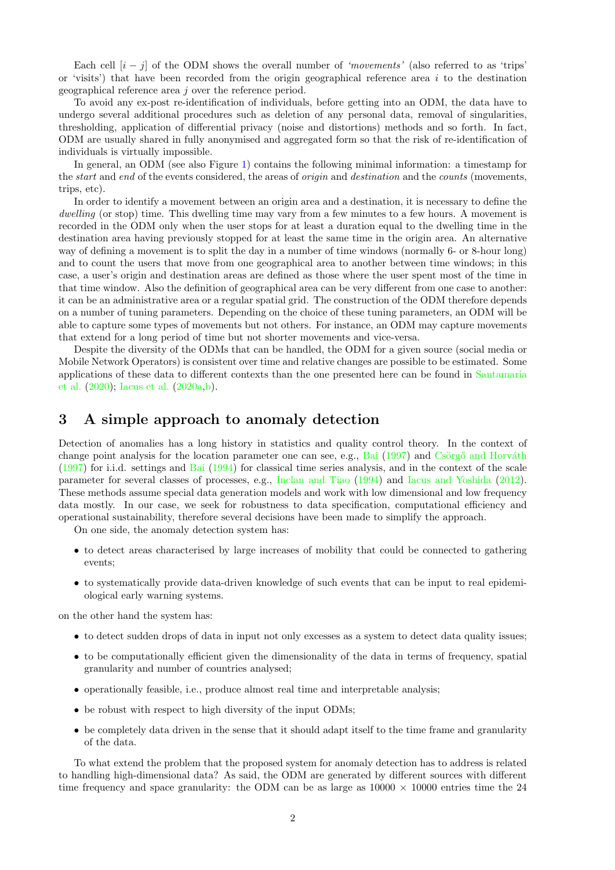Each cell  $[i - j]$  of the ODM shows the overall number of 'movements' (also referred to as 'trips' or 'visits') that have been recorded from the origin geographical reference area  $i$  to the destination geographical reference area j over the reference period.

To avoid any ex-post re-identification of individuals, before getting into an ODM, the data have to undergo several additional procedures such as deletion of any personal data, removal of singularities, thresholding, application of differential privacy (noise and distortions) methods and so forth. In fact, ODM are usually shared in fully anonymised and aggregated form so that the risk of re-identification of individuals is virtually impossible.

In general, an ODM (see also Figure [1\)](#page-3-0) contains the following minimal information: a timestamp for the *start* and end of the events considered, the areas of *origin* and *destination* and the *counts* (movements, trips, etc).

In order to identify a movement between an origin area and a destination, it is necessary to define the dwelling (or stop) time. This dwelling time may vary from a few minutes to a few hours. A movement is recorded in the ODM only when the user stops for at least a duration equal to the dwelling time in the destination area having previously stopped for at least the same time in the origin area. An alternative way of defining a movement is to split the day in a number of time windows (normally 6- or 8-hour long) and to count the users that move from one geographical area to another between time windows; in this case, a user's origin and destination areas are defined as those where the user spent most of the time in that time window. Also the definition of geographical area can be very different from one case to another: it can be an administrative area or a regular spatial grid. The construction of the ODM therefore depends on a number of tuning parameters. Depending on the choice of these tuning parameters, an ODM will be able to capture some types of movements but not others. For instance, an ODM may capture movements that extend for a long period of time but not shorter movements and vice-versa.

Despite the diversity of the ODMs that can be handled, the ODM for a given source (social media or Mobile Network Operators) is consistent over time and relative changes are possible to be estimated. Some applications of these data to different contexts than the one presented here can be found in [Santamaria](#page-5-2) [et al.](#page-5-2) [\(2020\)](#page-5-2); [Iacus et al.](#page-4-4) [\(2020a,](#page-4-4)[b\)](#page-4-5).

#### <span id="page-1-0"></span>3 A simple approach to anomaly detection

Detection of anomalies has a long history in statistics and quality control theory. In the context of change point analysis for the location parameter one can see, e.g., [Bai](#page-4-6)  $(1997)$  and Csörg $\ddot{o}$  and Horváth [\(1997\)](#page-4-7) for i.i.d. settings and [Bai](#page-4-8) [\(1994\)](#page-4-8) for classical time series analysis, and in the context of the scale parameter for several classes of processes, e.g., [Inclan and Tiao](#page-4-9) [\(1994\)](#page-4-9) and [Iacus and Yoshida](#page-4-10) [\(2012\)](#page-4-10). These methods assume special data generation models and work with low dimensional and low frequency data mostly. In our case, we seek for robustness to data specification, computational efficiency and operational sustainability, therefore several decisions have been made to simplify the approach.

On one side, the anomaly detection system has:

- to detect areas characterised by large increases of mobility that could be connected to gathering events;
- to systematically provide data-driven knowledge of such events that can be input to real epidemiological early warning systems.

on the other hand the system has:

- to detect sudden drops of data in input not only excesses as a system to detect data quality issues;
- to be computationally efficient given the dimensionality of the data in terms of frequency, spatial granularity and number of countries analysed;
- operationally feasible, i.e., produce almost real time and interpretable analysis;
- be robust with respect to high diversity of the input ODMs;
- be completely data driven in the sense that it should adapt itself to the time frame and granularity of the data.

To what extend the problem that the proposed system for anomaly detection has to address is related to handling high-dimensional data? As said, the ODM are generated by different sources with different time frequency and space granularity: the ODM can be as large as  $10000 \times 10000$  entries time the 24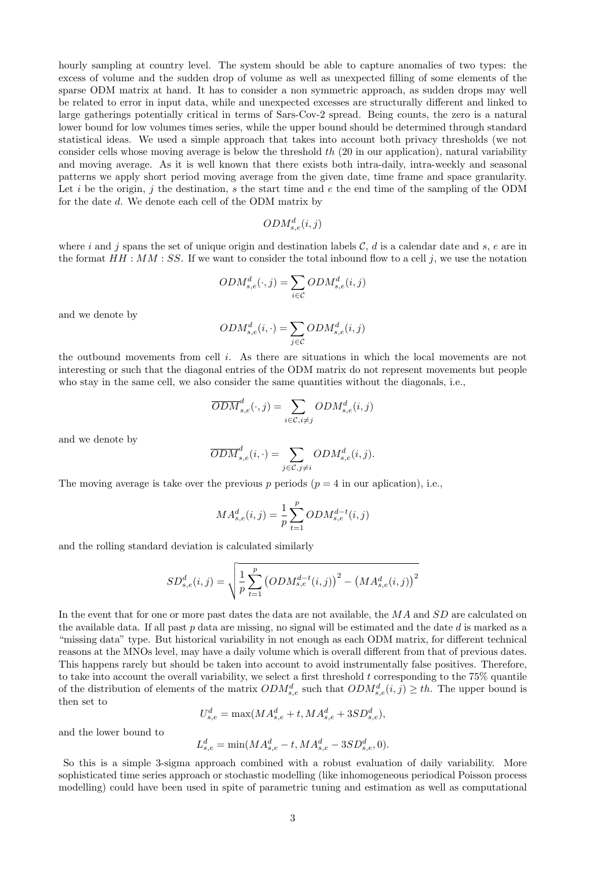hourly sampling at country level. The system should be able to capture anomalies of two types: the excess of volume and the sudden drop of volume as well as unexpected filling of some elements of the sparse ODM matrix at hand. It has to consider a non symmetric approach, as sudden drops may well be related to error in input data, while and unexpected excesses are structurally different and linked to large gatherings potentially critical in terms of Sars-Cov-2 spread. Being counts, the zero is a natural lower bound for low volumes times series, while the upper bound should be determined through standard statistical ideas. We used a simple approach that takes into account both privacy thresholds (we not consider cells whose moving average is below the threshold  $th$  (20 in our application), natural variability and moving average. As it is well known that there exists both intra-daily, intra-weekly and seasonal patterns we apply short period moving average from the given date, time frame and space granularity. Let i be the origin, j the destination, s the start time and  $e$  the end time of the sampling of the ODM for the date d. We denote each cell of the ODM matrix by

$$
ODM_{s,e}^d(i,j)
$$

where i and j spans the set of unique origin and destination labels C, d is a calendar date and s, e are in the format  $HH : MM : SS$ . If we want to consider the total inbound flow to a cell j, we use the notation

$$
ODM_{s,e}^d(\cdot, j) = \sum_{i \in \mathcal{C}} ODM_{s,e}^d(i, j)
$$

and we denote by

$$
ODM_{s,e}^d(i, \cdot) = \sum_{j \in C} ODM_{s,e}^d(i, j)
$$

the outbound movements from cell i. As there are situations in which the local movements are not interesting or such that the diagonal entries of the ODM matrix do not represent movements but people who stay in the same cell, we also consider the same quantities without the diagonals, i.e.,

$$
\overline{ODM}_{s,e}^d(\cdot,j) = \sum_{i \in \mathcal{C}, i \neq j} ODM_{s,e}^d(i,j)
$$

and we denote by

$$
\overline{ODM}_{s,e}^d(i, \cdot) = \sum_{j \in C, j \neq i} ODM_{s,e}^d(i,j).
$$

The moving average is take over the previous p periods  $(p = 4$  in our aplication), i.e.,

$$
MA_{s,e}^{d}(i,j) = \frac{1}{p} \sum_{t=1}^{p} ODM_{s,e}^{d-t}(i,j)
$$

and the rolling standard deviation is calculated similarly

$$
SD_{s,e}^{d}(i,j) = \sqrt{\frac{1}{p} \sum_{t=1}^{p} (ODM_{s,e}^{d-t}(i,j))^{2} - (MA_{s,e}^{d}(i,j))^{2}}
$$

In the event that for one or more past dates the data are not available, the MA and SD are calculated on the available data. If all past  $p$  data are missing, no signal will be estimated and the date  $d$  is marked as a "missing data" type. But historical variability in not enough as each ODM matrix, for different technical reasons at the MNOs level, may have a daily volume which is overall different from that of previous dates. This happens rarely but should be taken into account to avoid instrumentally false positives. Therefore, to take into account the overall variability, we select a first threshold  $t$  corresponding to the 75% quantile of the distribution of elements of the matrix  $ODM_{s,e}^d$  such that  $ODM_{s,e}^d(i,j) \geq th$ . The upper bound is then set to

$$
U_{s,e}^d = \max(MA_{s,e}^d + t, MA_{s,e}^d + 3SD_{s,e}^d),
$$

and the lower bound to

$$
L_{s,e}^d = \min(MA_{s,e}^d - t, MA_{s,e}^d - 3SD_{s,e}^d, 0).
$$

So this is a simple 3-sigma approach combined with a robust evaluation of daily variability. More sophisticated time series approach or stochastic modelling (like inhomogeneous periodical Poisson process modelling) could have been used in spite of parametric tuning and estimation as well as computational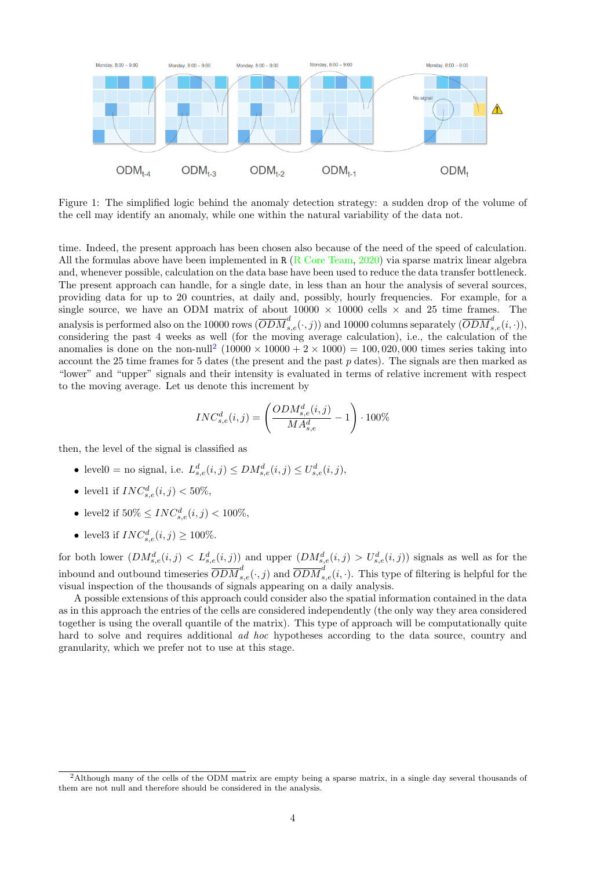

<span id="page-3-0"></span>Figure 1: The simplified logic behind the anomaly detection strategy: a sudden drop of the volume of the cell may identify an anomaly, while one within the natural variability of the data not.

time. Indeed, the present approach has been chosen also because of the need of the speed of calculation. All the formulas above have been implemented in R [\(R Core Team,](#page-5-3) [2020\)](#page-5-3) via sparse matrix linear algebra and, whenever possible, calculation on the data base have been used to reduce the data transfer bottleneck. The present approach can handle, for a single date, in less than an hour the analysis of several sources, providing data for up to 20 countries, at daily and, possibly, hourly frequencies. For example, for a single source, we have an ODM matrix of about  $10000 \times 10000$  cells  $\times$  and 25 time frames. The analysis is performed also on the 10000 rows  $(\overline{ODM}_{s,e}^d(\cdot,j))$  and 10000 columns separately  $(\overline{ODM}_{s,e}^d(i,\cdot)),$ considering the past 4 weeks as well (for the moving average calculation), i.e., the calculation of the anomalies is done on the non-null<sup>[2](#page-3-1)</sup>  $(10000 \times 10000 + 2 \times 1000) = 100,020,000$  times series taking into account the 25 time frames for 5 dates (the present and the past  $p$  dates). The signals are then marked as "lower" and "upper" signals and their intensity is evaluated in terms of relative increment with respect to the moving average. Let us denote this increment by

$$
INC_{s,e}^{d}(i,j) = \left(\frac{ODM_{s,e}^{d}(i,j)}{MA_{s,e}^{d}} - 1\right) \cdot 100\%
$$

then, the level of the signal is classified as

- level $0 = \text{no signal}$ , i.e.  $L_{s,e}^d(i,j) \leq DM_{s,e}^d(i,j) \leq U_{s,e}^d(i,j)$ ,
- level1 if  $INC_{s,e}^d(i,j) < 50\%,$
- level2 if  $50\% \leq INC_{s,e}^d(i,j) < 100\%,$
- level3 if  $INC_{s,e}^d(i, j) \ge 100\%.$

for both lower  $(DM_{s,e}^d(i,j) < L_{s,e}^d(i,j))$  and upper  $(DM_{s,e}^d(i,j) > U_{s,e}^d(i,j))$  signals as well as for the inbound and outbound timeseries  $\overline{ODM}_{s,e}^d(.,j)$  and  $\overline{ODM}_{s,e}^d(i,.)$ . This type of filtering is helpful for the visual inspection of the thousands of signals appearing on a daily analysis.

A possible extensions of this approach could consider also the spatial information contained in the data as in this approach the entries of the cells are considered independently (the only way they area considered together is using the overall quantile of the matrix). This type of approach will be computationally quite hard to solve and requires additional *ad hoc* hypotheses according to the data source, country and granularity, which we prefer not to use at this stage.

<span id="page-3-1"></span><sup>2</sup>Although many of the cells of the ODM matrix are empty being a sparse matrix, in a single day several thousands of them are not null and therefore should be considered in the analysis.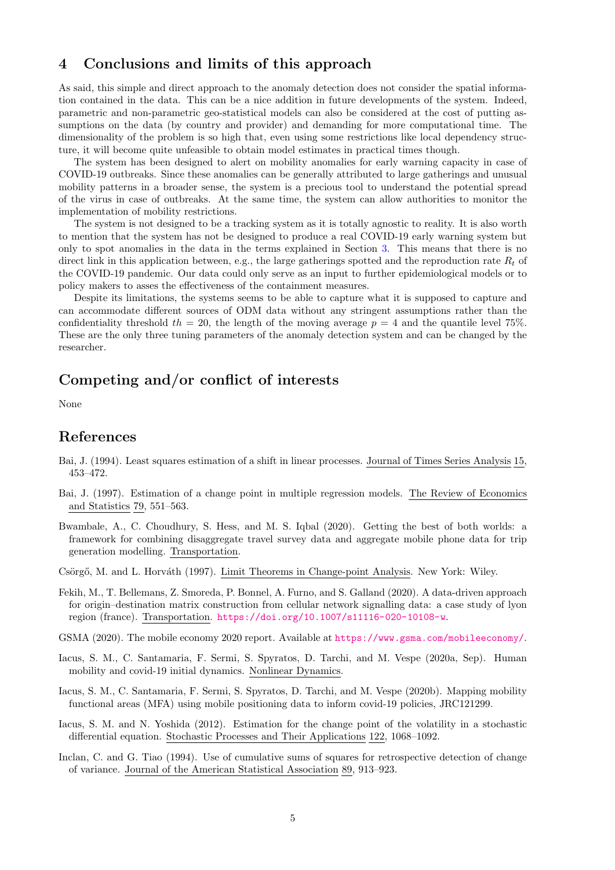# <span id="page-4-2"></span>4 Conclusions and limits of this approach

As said, this simple and direct approach to the anomaly detection does not consider the spatial information contained in the data. This can be a nice addition in future developments of the system. Indeed, parametric and non-parametric geo-statistical models can also be considered at the cost of putting assumptions on the data (by country and provider) and demanding for more computational time. The dimensionality of the problem is so high that, even using some restrictions like local dependency structure, it will become quite unfeasible to obtain model estimates in practical times though.

The system has been designed to alert on mobility anomalies for early warning capacity in case of COVID-19 outbreaks. Since these anomalies can be generally attributed to large gatherings and unusual mobility patterns in a broader sense, the system is a precious tool to understand the potential spread of the virus in case of outbreaks. At the same time, the system can allow authorities to monitor the implementation of mobility restrictions.

The system is not designed to be a tracking system as it is totally agnostic to reality. It is also worth to mention that the system has not be designed to produce a real COVID-19 early warning system but only to spot anomalies in the data in the terms explained in Section [3.](#page-1-0) This means that there is no direct link in this application between, e.g., the large gatherings spotted and the reproduction rate  $R_t$  of the COVID-19 pandemic. Our data could only serve as an input to further epidemiological models or to policy makers to asses the effectiveness of the containment measures.

Despite its limitations, the systems seems to be able to capture what it is supposed to capture and can accommodate different sources of ODM data without any stringent assumptions rather than the confidentiality threshold  $th = 20$ , the length of the moving average  $p = 4$  and the quantile level 75%. These are the only three tuning parameters of the anomaly detection system and can be changed by the researcher.

# Competing and/or conflict of interests

None

### References

- <span id="page-4-8"></span>Bai, J. (1994). Least squares estimation of a shift in linear processes. Journal of Times Series Analysis 15, 453–472.
- <span id="page-4-6"></span>Bai, J. (1997). Estimation of a change point in multiple regression models. The Review of Economics and Statistics 79, 551–563.
- <span id="page-4-0"></span>Bwambale, A., C. Choudhury, S. Hess, and M. S. Iqbal (2020). Getting the best of both worlds: a framework for combining disaggregate travel survey data and aggregate mobile phone data for trip generation modelling. Transportation.

<span id="page-4-7"></span>Csörgő, M. and L. Horváth (1997). Limit Theorems in Change-point Analysis. New York: Wiley.

- <span id="page-4-3"></span>Fekih, M., T. Bellemans, Z. Smoreda, P. Bonnel, A. Furno, and S. Galland (2020). A data-driven approach for origin–destination matrix construction from cellular network signalling data: a case study of lyon region (france). Transportation. <https://doi.org/10.1007/s11116-020-10108-w>.
- <span id="page-4-1"></span>GSMA (2020). The mobile economy 2020 report. Available at <https://www.gsma.com/mobileeconomy/>.
- <span id="page-4-4"></span>Iacus, S. M., C. Santamaria, F. Sermi, S. Spyratos, D. Tarchi, and M. Vespe (2020a, Sep). Human mobility and covid-19 initial dynamics. Nonlinear Dynamics.
- <span id="page-4-5"></span>Iacus, S. M., C. Santamaria, F. Sermi, S. Spyratos, D. Tarchi, and M. Vespe (2020b). Mapping mobility functional areas (MFA) using mobile positioning data to inform covid-19 policies, JRC121299.
- <span id="page-4-10"></span>Iacus, S. M. and N. Yoshida (2012). Estimation for the change point of the volatility in a stochastic differential equation. Stochastic Processes and Their Applications 122, 1068–1092.
- <span id="page-4-9"></span>Inclan, C. and G. Tiao (1994). Use of cumulative sums of squares for retrospective detection of change of variance. Journal of the American Statistical Association 89, 913–923.